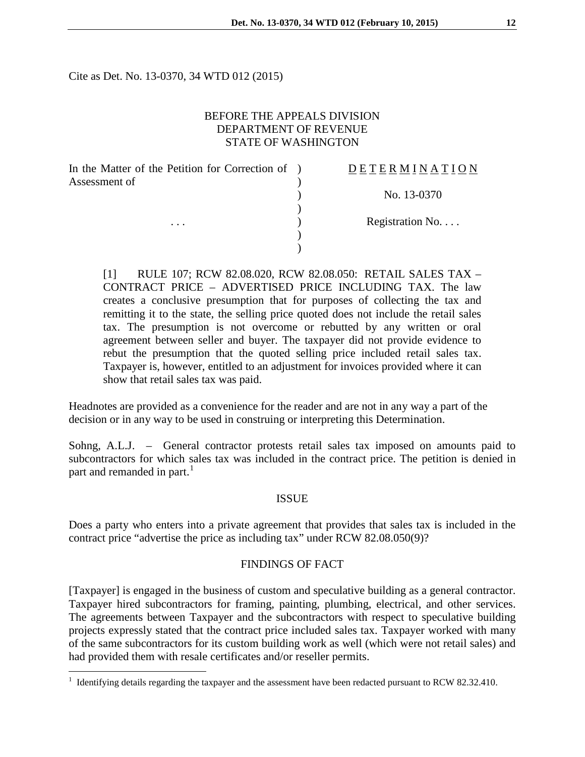Cite as Det. No. 13-0370, 34 WTD 012 (2015)

## BEFORE THE APPEALS DIVISION DEPARTMENT OF REVENUE STATE OF WASHINGTON

)

 $\overline{)}$ )

| In the Matter of the Petition for Correction of ) |  |
|---------------------------------------------------|--|
| Assessment of                                     |  |
|                                                   |  |

 $\overline{a}$ 

# D E T E R M I N A T I O N

) No. 13-0370

... Registration No....

[1] RULE 107; RCW 82.08.020, RCW 82.08.050: RETAIL SALES TAX – CONTRACT PRICE – ADVERTISED PRICE INCLUDING TAX. The law creates a conclusive presumption that for purposes of collecting the tax and remitting it to the state, the selling price quoted does not include the retail sales tax. The presumption is not overcome or rebutted by any written or oral agreement between seller and buyer. The taxpayer did not provide evidence to rebut the presumption that the quoted selling price included retail sales tax. Taxpayer is, however, entitled to an adjustment for invoices provided where it can show that retail sales tax was paid.

Headnotes are provided as a convenience for the reader and are not in any way a part of the decision or in any way to be used in construing or interpreting this Determination.

Sohng, A.L.J. – General contractor protests retail sales tax imposed on amounts paid to subcontractors for which sales tax was included in the contract price. The petition is denied in part and remanded in part.<sup>[1](#page-0-0)</sup>

#### **ISSUE**

Does a party who enters into a private agreement that provides that sales tax is included in the contract price "advertise the price as including tax" under RCW 82.08.050(9)?

### FINDINGS OF FACT

[Taxpayer] is engaged in the business of custom and speculative building as a general contractor. Taxpayer hired subcontractors for framing, painting, plumbing, electrical, and other services. The agreements between Taxpayer and the subcontractors with respect to speculative building projects expressly stated that the contract price included sales tax. Taxpayer worked with many of the same subcontractors for its custom building work as well (which were not retail sales) and had provided them with resale certificates and/or reseller permits.

<span id="page-0-0"></span><sup>&</sup>lt;sup>1</sup> Identifying details regarding the taxpayer and the assessment have been redacted pursuant to RCW 82.32.410.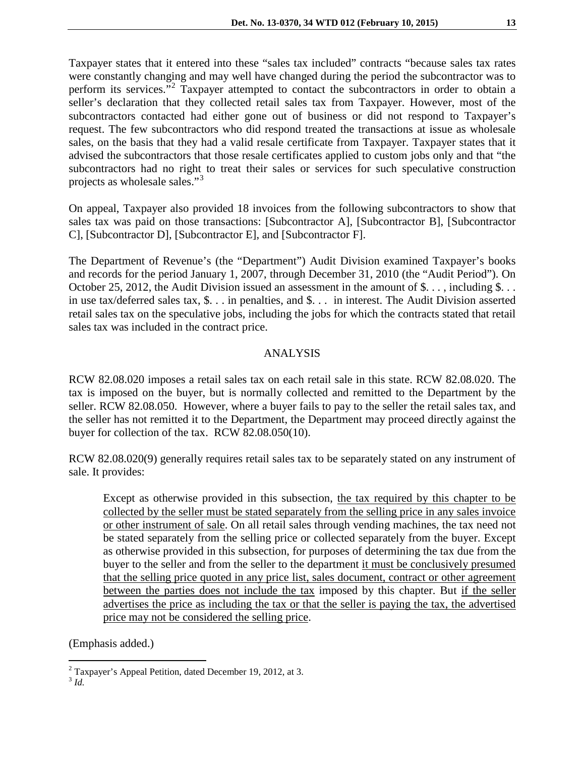Taxpayer states that it entered into these "sales tax included" contracts "because sales tax rates were constantly changing and may well have changed during the period the subcontractor was to perform its services."<sup>[2](#page-1-0)</sup> Taxpayer attempted to contact the subcontractors in order to obtain a seller's declaration that they collected retail sales tax from Taxpayer. However, most of the subcontractors contacted had either gone out of business or did not respond to Taxpayer's request. The few subcontractors who did respond treated the transactions at issue as wholesale sales, on the basis that they had a valid resale certificate from Taxpayer. Taxpayer states that it advised the subcontractors that those resale certificates applied to custom jobs only and that "the subcontractors had no right to treat their sales or services for such speculative construction projects as wholesale sales."<sup>[3](#page-1-1)</sup>

On appeal, Taxpayer also provided 18 invoices from the following subcontractors to show that sales tax was paid on those transactions: [Subcontractor A], [Subcontractor B], [Subcontractor C], [Subcontractor D], [Subcontractor E], and [Subcontractor F].

The Department of Revenue's (the "Department") Audit Division examined Taxpayer's books and records for the period January 1, 2007, through December 31, 2010 (the "Audit Period"). On October 25, 2012, the Audit Division issued an assessment in the amount of  $\$\dots$ , including  $\$\dots$ in use tax/deferred sales tax, \$. . . in penalties, and \$. . . in interest. The Audit Division asserted retail sales tax on the speculative jobs, including the jobs for which the contracts stated that retail sales tax was included in the contract price.

### ANALYSIS

RCW 82.08.020 imposes a retail sales tax on each retail sale in this state. RCW 82.08.020. The tax is imposed on the buyer, but is normally collected and remitted to the Department by the seller. RCW 82.08.050. However, where a buyer fails to pay to the seller the retail sales tax, and the seller has not remitted it to the Department, the Department may proceed directly against the buyer for collection of the tax. RCW 82.08.050(10).

RCW 82.08.020(9) generally requires retail sales tax to be separately stated on any instrument of sale. It provides:

Except as otherwise provided in this subsection, the tax required by this chapter to be collected by the seller must be stated separately from the selling price in any sales invoice or other instrument of sale. On all retail sales through vending machines, the tax need not be stated separately from the selling price or collected separately from the buyer. Except as otherwise provided in this subsection, for purposes of determining the tax due from the buyer to the seller and from the seller to the department it must be conclusively presumed that the selling price quoted in any price list, sales document, contract or other agreement between the parties does not include the tax imposed by this chapter. But if the seller advertises the price as including the tax or that the seller is paying the tax, the advertised price may not be considered the selling price.

(Emphasis added.)

 $2^{2}$  Taxpayer's Appeal Petition, dated December 19, 2012, at 3.  $\overline{a}$ 

<span id="page-1-1"></span><span id="page-1-0"></span><sup>3</sup> *Id.*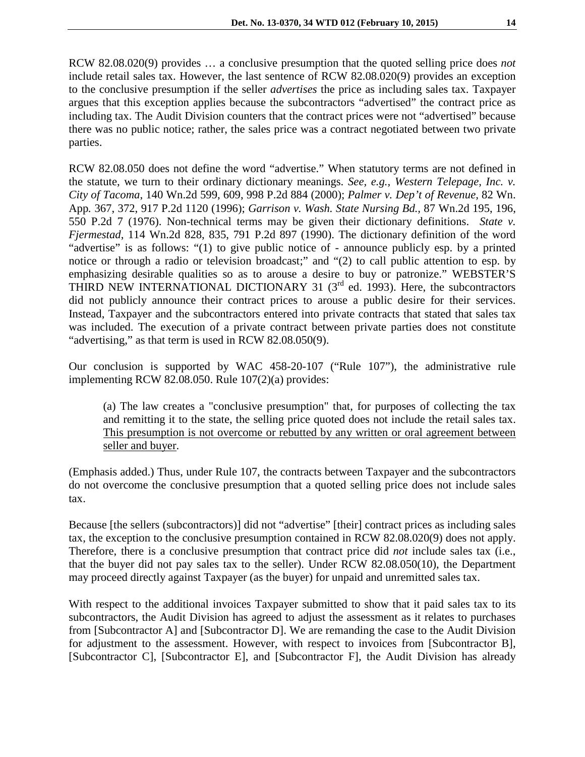RCW 82.08.020(9) provides … a conclusive presumption that the quoted selling price does *not*  include retail sales tax. However, the last sentence of RCW 82.08.020(9) provides an exception to the conclusive presumption if the seller *advertises* the price as including sales tax. Taxpayer argues that this exception applies because the subcontractors "advertised" the contract price as including tax. The Audit Division counters that the contract prices were not "advertised" because there was no public notice; rather, the sales price was a contract negotiated between two private parties.

RCW 82.08.050 does not define the word "advertise." When statutory terms are not defined in the statute, we turn to their ordinary dictionary meanings. *See, e.g., Western Telepage, Inc. v. City of Tacoma*, 140 Wn.2d 599, 609, 998 P.2d 884 (2000); *Palmer v. Dep't of Revenue,* 82 Wn. App*.* 367, 372, 917 P.2d 1120 (1996); *Garrison v. Wash. State Nursing Bd.,* 87 Wn.2d 195, 196, 550 P.2d 7 (1976). Non-technical terms may be given their dictionary definitions. *State v. Fjermestad*, 114 Wn.2d 828, 835, 791 P.2d 897 (1990). The dictionary definition of the word "advertise" is as follows: "(1) to give public notice of - announce publicly esp. by a printed notice or through a radio or television broadcast;" and "(2) to call public attention to esp. by emphasizing desirable qualities so as to arouse a desire to buy or patronize." WEBSTER'S THIRD NEW INTERNATIONAL DICTIONARY 31  $(3^{rd}$  ed. 1993). Here, the subcontractors did not publicly announce their contract prices to arouse a public desire for their services. Instead, Taxpayer and the subcontractors entered into private contracts that stated that sales tax was included. The execution of a private contract between private parties does not constitute "advertising," as that term is used in RCW 82.08.050(9).

Our conclusion is supported by WAC 458-20-107 ("Rule 107"), the administrative rule implementing RCW 82.08.050. Rule 107(2)(a) provides:

(a) The law creates a "conclusive presumption" that, for purposes of collecting the tax and remitting it to the state, the selling price quoted does not include the retail sales tax. This presumption is not overcome or rebutted by any written or oral agreement between seller and buyer.

(Emphasis added.) Thus, under Rule 107, the contracts between Taxpayer and the subcontractors do not overcome the conclusive presumption that a quoted selling price does not include sales tax.

Because [the sellers (subcontractors)] did not "advertise" [their] contract prices as including sales tax, the exception to the conclusive presumption contained in RCW 82.08.020(9) does not apply. Therefore, there is a conclusive presumption that contract price did *not* include sales tax (i.e., that the buyer did not pay sales tax to the seller). Under RCW 82.08.050(10), the Department may proceed directly against Taxpayer (as the buyer) for unpaid and unremitted sales tax.

With respect to the additional invoices Taxpayer submitted to show that it paid sales tax to its subcontractors, the Audit Division has agreed to adjust the assessment as it relates to purchases from [Subcontractor A] and [Subcontractor D]. We are remanding the case to the Audit Division for adjustment to the assessment. However, with respect to invoices from [Subcontractor B], [Subcontractor C], [Subcontractor E], and [Subcontractor F], the Audit Division has already